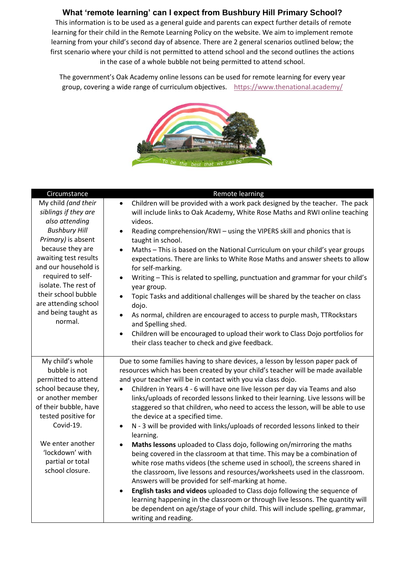## **What 'remote learning' can I expect from Bushbury Hill Primary School?**

This information is to be used as a general guide and parents can expect further details of remote learning for their child in the Remote Learning Policy on the website. We aim to implement remote learning from your child's second day of absence. There are 2 general scenarios outlined below; the first scenario where your child is not permitted to attend school and the second outlines the actions in the case of a whole bubble not being permitted to attend school.

The government's Oak Academy online lessons can be used for remote learning for every year group, covering a wide range of curriculum objectives. <https://www.thenational.academy/>



| Circumstance                                                                                                                                                                                                                                                                                                   | Remote learning                                                                                                                                                                                                                                                                                                                                                                                                                                                                                                                                                                                                                                                                                                                                                                                                                                                                                                                                                                                                                                                                                                                                                                                                                                                                                                   |
|----------------------------------------------------------------------------------------------------------------------------------------------------------------------------------------------------------------------------------------------------------------------------------------------------------------|-------------------------------------------------------------------------------------------------------------------------------------------------------------------------------------------------------------------------------------------------------------------------------------------------------------------------------------------------------------------------------------------------------------------------------------------------------------------------------------------------------------------------------------------------------------------------------------------------------------------------------------------------------------------------------------------------------------------------------------------------------------------------------------------------------------------------------------------------------------------------------------------------------------------------------------------------------------------------------------------------------------------------------------------------------------------------------------------------------------------------------------------------------------------------------------------------------------------------------------------------------------------------------------------------------------------|
| My child (and their<br>siblings if they are<br>also attending<br><b>Bushbury Hill</b><br>Primary) is absent<br>because they are<br>awaiting test results<br>and our household is<br>required to self-<br>isolate. The rest of<br>their school bubble<br>are attending school<br>and being taught as<br>normal. | Children will be provided with a work pack designed by the teacher. The pack<br>$\bullet$<br>will include links to Oak Academy, White Rose Maths and RWI online teaching<br>videos.<br>Reading comprehension/RWI - using the VIPERS skill and phonics that is<br>$\bullet$<br>taught in school.<br>Maths - This is based on the National Curriculum on your child's year groups<br>$\bullet$<br>expectations. There are links to White Rose Maths and answer sheets to allow<br>for self-marking.<br>Writing - This is related to spelling, punctuation and grammar for your child's<br>$\bullet$<br>year group.<br>Topic Tasks and additional challenges will be shared by the teacher on class<br>dojo.<br>As normal, children are encouraged to access to purple mash, TTRockstars<br>$\bullet$<br>and Spelling shed.<br>Children will be encouraged to upload their work to Class Dojo portfolios for<br>$\bullet$<br>their class teacher to check and give feedback.                                                                                                                                                                                                                                                                                                                                         |
| My child's whole<br>bubble is not<br>permitted to attend<br>school because they,<br>or another member<br>of their bubble, have<br>tested positive for<br>Covid-19.<br>We enter another<br>'lockdown' with<br>partial or total<br>school closure.                                                               | Due to some families having to share devices, a lesson by lesson paper pack of<br>resources which has been created by your child's teacher will be made available<br>and your teacher will be in contact with you via class dojo.<br>Children in Years 4 - 6 will have one live lesson per day via Teams and also<br>links/uploads of recorded lessons linked to their learning. Live lessons will be<br>staggered so that children, who need to access the lesson, will be able to use<br>the device at a specified time.<br>N - 3 will be provided with links/uploads of recorded lessons linked to their<br>$\bullet$<br>learning.<br>Maths lessons uploaded to Class dojo, following on/mirroring the maths<br>$\bullet$<br>being covered in the classroom at that time. This may be a combination of<br>white rose maths videos (the scheme used in school), the screens shared in<br>the classroom, live lessons and resources/worksheets used in the classroom.<br>Answers will be provided for self-marking at home.<br>English tasks and videos uploaded to Class dojo following the sequence of<br>$\bullet$<br>learning happening in the classroom or through live lessons. The quantity will<br>be dependent on age/stage of your child. This will include spelling, grammar,<br>writing and reading. |